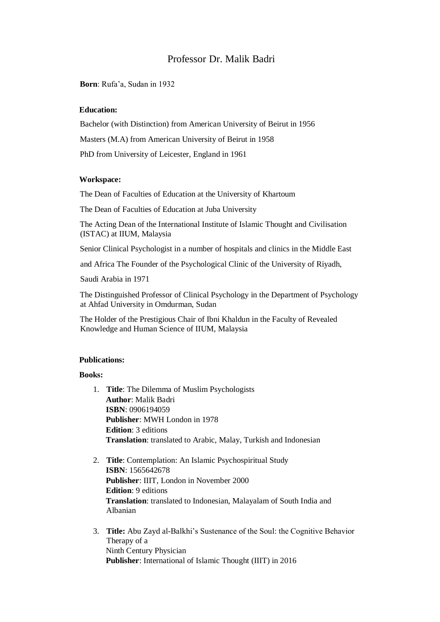# Professor Dr. Malik Badri

**Born**: Rufa'a, Sudan in 1932

### **Education:**

Bachelor (with Distinction) from American University of Beirut in 1956 Masters (M.A) from American University of Beirut in 1958 PhD from University of Leicester, England in 1961

## **Workspace:**

The Dean of Faculties of Education at the University of Khartoum

The Dean of Faculties of Education at Juba University

The Acting Dean of the International Institute of Islamic Thought and Civilisation (ISTAC) at IIUM, Malaysia

Senior Clinical Psychologist in a number of hospitals and clinics in the Middle East

and Africa The Founder of the Psychological Clinic of the University of Riyadh,

Saudi Arabia in 1971

The Distinguished Professor of Clinical Psychology in the Department of Psychology at Ahfad University in Omdurman, Sudan

The Holder of the Prestigious Chair of Ibni Khaldun in the Faculty of Revealed Knowledge and Human Science of IIUM, Malaysia

#### **Publications:**

#### **Books:**

- 1. **Title**: The Dilemma of Muslim Psychologists **Author**: Malik Badri **ISBN**: 0906194059 **Publisher**: MWH London in 1978 **Edition**: 3 editions **Translation**: translated to Arabic, Malay, Turkish and Indonesian
- 2. **Title**: Contemplation: An Islamic Psychospiritual Study **ISBN**: 1565642678 **Publisher**: IIIT, London in November 2000 **Edition**: 9 editions **Translation**: translated to Indonesian, Malayalam of South India and Albanian
- 3. **Title:** Abu Zayd al-Balkhi's Sustenance of the Soul: the Cognitive Behavior Therapy of a Ninth Century Physician **Publisher**: International of Islamic Thought (IIIT) in 2016